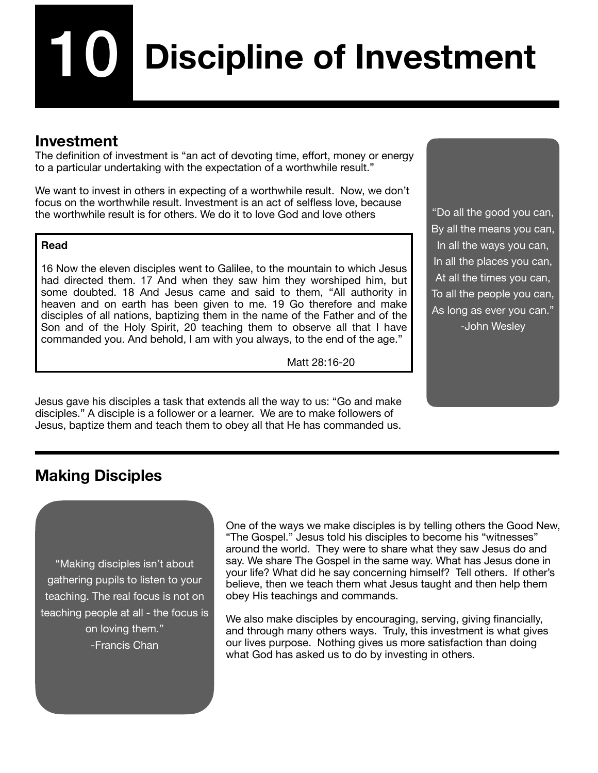# **Discipline of Investment** 10

## **Investment**

The definition of investment is "an act of devoting time, effort, money or energy to a particular undertaking with the expectation of a worthwhile result."

We want to invest in others in expecting of a worthwhile result. Now, we don't focus on the worthwhile result. Investment is an act of selfless love, because the worthwhile result is for others. We do it to love God and love others

#### **Read**

16 Now the eleven disciples went to Galilee, to the mountain to which Jesus had directed them. 17 And when they saw him they worshiped him, but some doubted. 18 And Jesus came and said to them, "All authority in heaven and on earth has been given to me. 19 Go therefore and make disciples of all nations, baptizing them in the name of the Father and of the Son and of the Holy Spirit, 20 teaching them to observe all that I have commanded you. And behold, I am with you always, to the end of the age."

 Matt 28:16-20

Jesus gave his disciples a task that extends all the way to us: "Go and make disciples." A disciple is a follower or a learner. We are to make followers of Jesus, baptize them and teach them to obey all that He has commanded us.

"Do all the good you can, By all the means you can, In all the ways you can, In all the places you can, At all the times you can, To all the people you can, As long as ever you can." -John Wesley

# **Making Disciples**

"Making disciples isn't about gathering pupils to listen to your teaching. The real focus is not on teaching people at all - the focus is on loving them." -Francis Chan

One of the ways we make disciples is by telling others the Good New, "The Gospel." Jesus told his disciples to become his "witnesses" around the world. They were to share what they saw Jesus do and say. We share The Gospel in the same way. What has Jesus done in your life? What did he say concerning himself? Tell others. If other's believe, then we teach them what Jesus taught and then help them obey His teachings and commands.

We also make disciples by encouraging, serving, giving financially, and through many others ways. Truly, this investment is what gives our lives purpose. Nothing gives us more satisfaction than doing what God has asked us to do by investing in others.